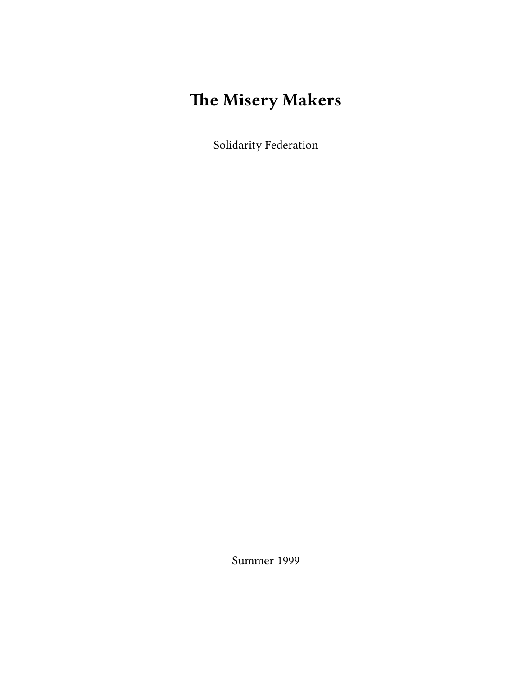# **The Misery Makers**

Solidarity Federation

Summer 1999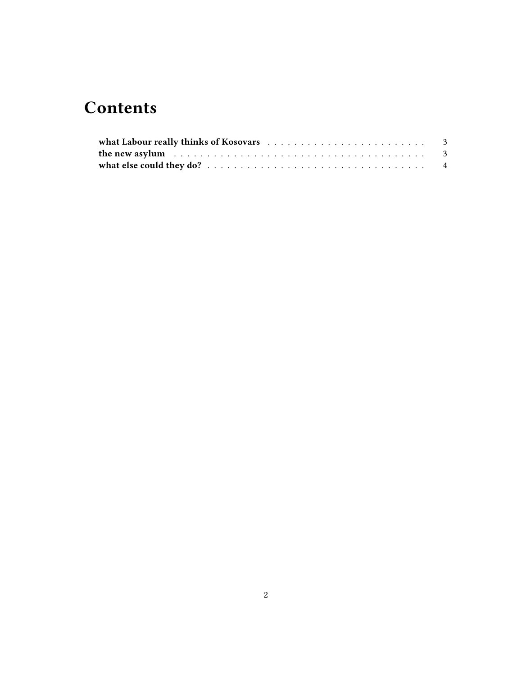## **Contents**

| the new asylum $\ldots \ldots \ldots \ldots \ldots \ldots \ldots \ldots \ldots \ldots \ldots \ldots$ |  |
|------------------------------------------------------------------------------------------------------|--|
|                                                                                                      |  |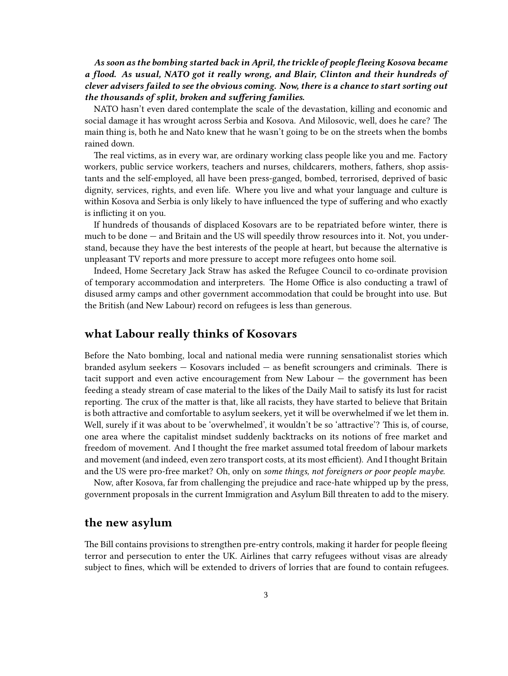*As soon as the bombing started back in April, the trickle of people fleeing Kosova became a flood. As usual, NATO got it really wrong, and Blair, Clinton and their hundreds of clever advisers failed to see the obvious coming. Now, there is a chance to start sorting out the thousands of split, broken and suffering families.*

NATO hasn't even dared contemplate the scale of the devastation, killing and economic and social damage it has wrought across Serbia and Kosova. And Milosovic, well, does he care? The main thing is, both he and Nato knew that he wasn't going to be on the streets when the bombs rained down.

The real victims, as in every war, are ordinary working class people like you and me. Factory workers, public service workers, teachers and nurses, childcarers, mothers, fathers, shop assistants and the self-employed, all have been press-ganged, bombed, terrorised, deprived of basic dignity, services, rights, and even life. Where you live and what your language and culture is within Kosova and Serbia is only likely to have influenced the type of suffering and who exactly is inflicting it on you.

If hundreds of thousands of displaced Kosovars are to be repatriated before winter, there is much to be done — and Britain and the US will speedily throw resources into it. Not, you understand, because they have the best interests of the people at heart, but because the alternative is unpleasant TV reports and more pressure to accept more refugees onto home soil.

Indeed, Home Secretary Jack Straw has asked the Refugee Council to co-ordinate provision of temporary accommodation and interpreters. The Home Office is also conducting a trawl of disused army camps and other government accommodation that could be brought into use. But the British (and New Labour) record on refugees is less than generous.

### <span id="page-2-0"></span>**what Labour really thinks of Kosovars**

Before the Nato bombing, local and national media were running sensationalist stories which branded asylum seekers  $-$  Kosovars included  $-$  as benefit scroungers and criminals. There is tacit support and even active encouragement from New Labour — the government has been feeding a steady stream of case material to the likes of the Daily Mail to satisfy its lust for racist reporting. The crux of the matter is that, like all racists, they have started to believe that Britain is both attractive and comfortable to asylum seekers, yet it will be overwhelmed if we let them in. Well, surely if it was about to be 'overwhelmed', it wouldn't be so 'attractive'? This is, of course, one area where the capitalist mindset suddenly backtracks on its notions of free market and freedom of movement. And I thought the free market assumed total freedom of labour markets and movement (and indeed, even zero transport costs, at its most efficient). And I thought Britain and the US were pro-free market? Oh, only on *some things, not foreigners or poor people maybe.*

Now, after Kosova, far from challenging the prejudice and race-hate whipped up by the press, government proposals in the current Immigration and Asylum Bill threaten to add to the misery.

#### <span id="page-2-1"></span>**the new asylum**

The Bill contains provisions to strengthen pre-entry controls, making it harder for people fleeing terror and persecution to enter the UK. Airlines that carry refugees without visas are already subject to fines, which will be extended to drivers of lorries that are found to contain refugees.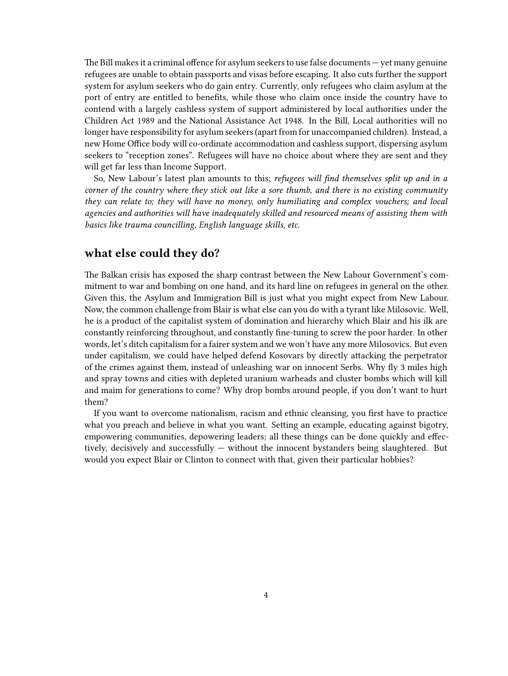The Bill makes it a criminal offence for asylum seekers to use false documents — yet many genuine refugees are unable to obtain passports and visas before escaping. It also cuts further the support system for asylum seekers who do gain entry. Currently, only refugees who claim asylum at the port of entry are entitled to benefits, while those who claim once inside the country have to contend with a largely cashless system of support administered by local authorities under the Children Act 1989 and the National Assistance Act 1948. In the Bill, Local authorities will no longer have responsibility for asylum seekers (apart from for unaccompanied children). Instead, a new Home Office body will co-ordinate accommodation and cashless support, dispersing asylum seekers to "reception zones". Refugees will have no choice about where they are sent and they will get far less than Income Support.

So, New Labour's latest plan amounts to this; *refugees will find themselves split up and in a corner of the country where they stick out like a sore thumb, and there is no existing community they can relate to; they will have no money, only humiliating and complex vouchers; and local agencies and authorities will have inadequately skilled and resourced means of assisting them with basics like trauma councilling, English language skills, etc.*

### <span id="page-3-0"></span>**what else could they do?**

The Balkan crisis has exposed the sharp contrast between the New Labour Government's commitment to war and bombing on one hand, and its hard line on refugees in general on the other. Given this, the Asylum and Immigration Bill is just what you might expect from New Labour. Now, the common challenge from Blair is what else can you do with a tyrant like Milosovic. Well, he is a product of the capitalist system of domination and hierarchy which Blair and his ilk are constantly reinforcing throughout, and constantly fine-tuning to screw the poor harder. In other words, let's ditch capitalism for a fairer system and we won't have any more Milosovics. But even under capitalism, we could have helped defend Kosovars by directly attacking the perpetrator of the crimes against them, instead of unleashing war on innocent Serbs. Why fly 3 miles high and spray towns and cities with depleted uranium warheads and cluster bombs which will kill and maim for generations to come? Why drop bombs around people, if you don't want to hurt them?

If you want to overcome nationalism, racism and ethnic cleansing, you first have to practice what you preach and believe in what you want. Setting an example, educating against bigotry, empowering communities, depowering leaders; all these things can be done quickly and effectively, decisively and successfully — without the innocent bystanders being slaughtered. But would you expect Blair or Clinton to connect with that, given their particular hobbies?